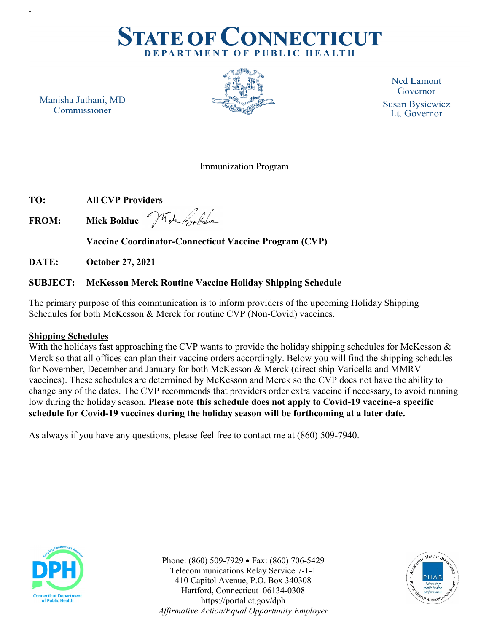

Manisha Juthani, MD Commissioner



**Ned Lamont** Governor **Susan Bysiewicz** Lt. Governor

#### Immunization Program

**TO: All CVP Providers**

-

**FROM: Mick Bolduc**

**Vaccine Coordinator-Connecticut Vaccine Program (CVP)**

**DATE: October 27, 2021**

#### **SUBJECT: McKesson Merck Routine Vaccine Holiday Shipping Schedule**

The primary purpose of this communication is to inform providers of the upcoming Holiday Shipping Schedules for both McKesson & Merck for routine CVP (Non-Covid) vaccines.

#### **Shipping Schedules**

With the holidays fast approaching the CVP wants to provide the holiday shipping schedules for McKesson  $\&$ Merck so that all offices can plan their vaccine orders accordingly. Below you will find the shipping schedules for November, December and January for both McKesson & Merck (direct ship Varicella and MMRV vaccines). These schedules are determined by McKesson and Merck so the CVP does not have the ability to change any of the dates. The CVP recommends that providers order extra vaccine if necessary, to avoid running low during the holiday season**. Please note this schedule does not apply to Covid-19 vaccine-a specific schedule for Covid-19 vaccines during the holiday season will be forthcoming at a later date.** 

As always if you have any questions, please feel free to contact me at (860) 509-7940.



Phone: (860) 509-7929 • Fax: (860) 706-5429 Telecommunications Relay Service 7-1-1 410 Capitol Avenue, P.O. Box 340308 Hartford, Connecticut 06134-0308 https://portal.ct.gov/dph *Affirmative Action/Equal Opportunity Employer*

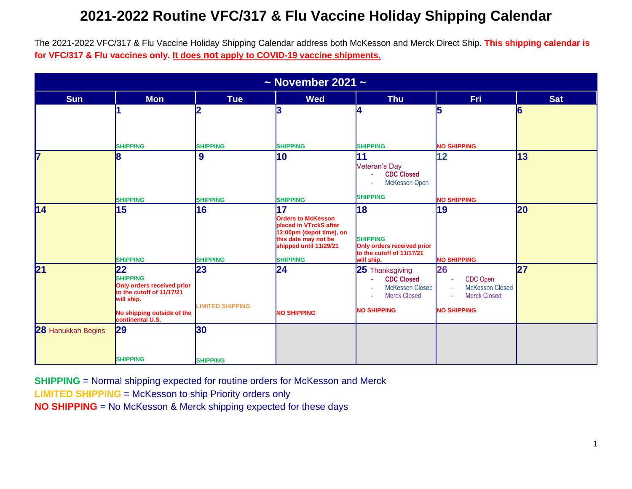The 2021-2022 VFC/317 & Flu Vaccine Holiday Shipping Calendar address both McKesson and Merck Direct Ship. **This shipping calendar is for VFC/317 & Flu vaccines only. It does not apply to COVID-19 vaccine shipments.** 

| $\sim$ November 2021 $\sim$ |                                                                                                |                               |                                                                                                                                                            |                                                                                                                   |                                                                                                                  |            |
|-----------------------------|------------------------------------------------------------------------------------------------|-------------------------------|------------------------------------------------------------------------------------------------------------------------------------------------------------|-------------------------------------------------------------------------------------------------------------------|------------------------------------------------------------------------------------------------------------------|------------|
| <b>Sun</b>                  | <b>Mon</b>                                                                                     | <b>Tue</b>                    | <b>Wed</b>                                                                                                                                                 | <b>Thu</b>                                                                                                        | <b>Fri</b>                                                                                                       | <b>Sat</b> |
|                             |                                                                                                |                               | 3                                                                                                                                                          |                                                                                                                   | 5                                                                                                                | 6          |
|                             | <b>SHIPPING</b>                                                                                | <b>SHIPPING</b>               | <b>SHIPPING</b>                                                                                                                                            | <b>SHIPPING</b>                                                                                                   | <b>NO SHIPPING</b>                                                                                               |            |
| 17                          | 18                                                                                             | 9                             | $ 10\rangle$                                                                                                                                               | 11<br>Veteran's Day<br><b>CDC Closed</b><br>McKesson Open                                                         | 12                                                                                                               | 13         |
|                             | <b>SHIPPING</b>                                                                                | <b>SHIPPING</b>               | <b>SHIPPING</b>                                                                                                                                            | <b>SHIPPING</b>                                                                                                   | <b>NO SHIPPING</b>                                                                                               |            |
| 14                          | 15<br><b>SHIPPING</b>                                                                          | 16<br><b>SHIPPING</b>         | 17<br><b>Orders to McKesson</b><br>placed in VTrckS after<br>12:00pm (depot time), on<br>this date may not be<br>shipped until 11/29/21<br><b>SHIPPING</b> | 18<br><b>SHIPPING</b><br>Only orders received prior<br>to the cutoff of 11/17/21<br>will ship.                    | 19<br><b>NO SHIPPING</b>                                                                                         | 20         |
| $\mathbf{21}$               | 22<br><b>SHIPPING</b><br>Only orders received prior<br>to the cutoff of 11/17/21<br>will ship. | 23<br><b>LIMITED SHIPPING</b> | 24                                                                                                                                                         | 25 Thanksgiving<br><b>CDC Closed</b><br>A.<br><b>McKesson Closed</b><br><b>Merck Closed</b><br><b>NO SHIPPING</b> | 26<br>CDC Open<br>$\omega$<br><b>McKesson Closed</b><br>$\sim$<br><b>Merck Closed</b><br>÷<br><b>NO SHIPPING</b> | 27         |
|                             | No shipping outside of the<br>continental U.S.                                                 |                               | <b>NO SHIPPING</b>                                                                                                                                         |                                                                                                                   |                                                                                                                  |            |
| 28 Hanukkah Begins          | 29                                                                                             | 30                            |                                                                                                                                                            |                                                                                                                   |                                                                                                                  |            |
|                             | <b>SHIPPING</b>                                                                                | <b>SHIPPING</b>               |                                                                                                                                                            |                                                                                                                   |                                                                                                                  |            |

**SHIPPING** = Normal shipping expected for routine orders for McKesson and Merck

**LIMITED SHIPPING** = McKesson to ship Priority orders only

**NO SHIPPING** = No McKesson & Merck shipping expected for these days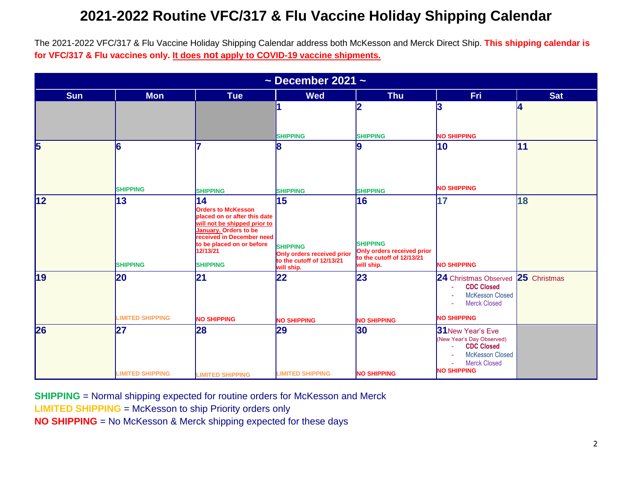The 2021-2022 VFC/317 & Flu Vaccine Holiday Shipping Calendar address both McKesson and Merck Direct Ship. **This shipping calendar is for VFC/317 & Flu vaccines only. It does not apply to COVID-19 vaccine shipments.** 

| $\sim$ December 2021 $\sim$ |                               |                                                                                                                                                                                                                                 |                                                                                                |                                                                                                |                                                                                                                                                  |            |
|-----------------------------|-------------------------------|---------------------------------------------------------------------------------------------------------------------------------------------------------------------------------------------------------------------------------|------------------------------------------------------------------------------------------------|------------------------------------------------------------------------------------------------|--------------------------------------------------------------------------------------------------------------------------------------------------|------------|
| <b>Sun</b>                  | <b>Mon</b>                    | <b>Tue</b>                                                                                                                                                                                                                      | <b>Wed</b>                                                                                     | <b>Thu</b>                                                                                     | Fri                                                                                                                                              | <b>Sat</b> |
|                             |                               |                                                                                                                                                                                                                                 | <b>SHIPPING</b>                                                                                | 12<br><b>SHIPPING</b>                                                                          | 3<br><b>NO SHIPPING</b>                                                                                                                          | 4          |
| 5                           | 6<br><b>SHIPPING</b>          | <b>SHIPPING</b>                                                                                                                                                                                                                 | 8<br><b>SHIPPING</b>                                                                           | l9<br><b>SHIPPING</b>                                                                          | 10<br><b>NO SHIPPING</b>                                                                                                                         | 11         |
| 12                          | 13<br><b>SHIPPING</b>         | 14<br><b>Orders to McKesson</b><br><b>placed on or after this date</b><br>will not be shipped prior to<br><b>January. Orders to be</b><br>received in December need<br>to be placed on or before<br>12/13/21<br><b>SHIPPING</b> | 15<br><b>SHIPPING</b><br>Only orders received prior<br>to the cutoff of 12/13/21<br>will ship. | 16<br><b>SHIPPING</b><br>Only orders received prior<br>to the cutoff of 12/13/21<br>will ship. | 17<br><b>NO SHIPPING</b>                                                                                                                         | 18         |
| 19                          | 20                            | 21                                                                                                                                                                                                                              | 22                                                                                             | 23                                                                                             | 24 Christmas Observed 25 Christmas<br><b>CDC Closed</b><br>ä,<br><b>McKesson Closed</b><br>$\sim$<br><b>Merck Closed</b><br>٠                    |            |
|                             | <b>LIMITED SHIPPING</b>       | <b>NO SHIPPING</b>                                                                                                                                                                                                              | <b>NO SHIPPING</b>                                                                             | <b>NO SHIPPING</b>                                                                             | <b>NO SHIPPING</b>                                                                                                                               |            |
| 26                          | 27<br><b>LIMITED SHIPPING</b> | 28<br><b>LIMITED SHIPPING</b>                                                                                                                                                                                                   | 29<br><b>LIMITED SHIPPING</b>                                                                  | 30<br><b>NO SHIPPING</b>                                                                       | 31 New Year's Eve<br>(New Year's Day Observed)<br><b>CDC Closed</b><br><b>McKesson Closed</b><br><b>Merck Closed</b><br>ä,<br><b>NO SHIPPING</b> |            |

**SHIPPING** = Normal shipping expected for routine orders for McKesson and Merck

**LIMITED SHIPPING** = McKesson to ship Priority orders only

**NO SHIPPING** = No McKesson & Merck shipping expected for these days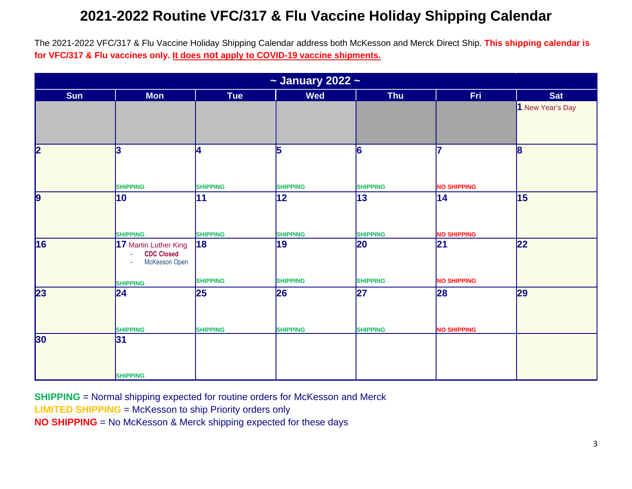The 2021-2022 VFC/317 & Flu Vaccine Holiday Shipping Calendar address both McKesson and Merck Direct Ship. **This shipping calendar is for VFC/317 & Flu vaccines only. It does not apply to COVID-19 vaccine shipments.** 

| $\sim$ January 2022 $\sim$ |                                                                                           |                       |                        |                       |                          |                  |
|----------------------------|-------------------------------------------------------------------------------------------|-----------------------|------------------------|-----------------------|--------------------------|------------------|
| <b>Sun</b>                 | <b>Mon</b>                                                                                | <b>Tue</b>            | <b>Wed</b>             | <b>Thu</b>            | Fri                      | Sat              |
|                            |                                                                                           |                       |                        |                       |                          | 1 New Year's Day |
| $\overline{\mathbf{2}}$    | 3                                                                                         | Ι4                    | 5                      | 6                     | 17                       | 8                |
|                            | <b>SHIPPING</b>                                                                           | <b>SHIPPING</b>       | <b>SHIPPING</b>        | <b>SHIPPING</b>       | <b>NO SHIPPING</b>       |                  |
| 9                          | 10<br><b>SHIPPING</b>                                                                     | 11<br><b>SHIPPING</b> | 12 <br><b>SHIPPING</b> | 13<br><b>SHIPPING</b> | 14<br><b>NO SHIPPING</b> | 15               |
| 16                         | 17 Martin Luther King<br><b>CDC Closed</b><br>÷.<br>McKesson Open<br>÷<br><b>SHIPPING</b> | 18<br><b>SHIPPING</b> | 19<br><b>SHIPPING</b>  | 20<br><b>SHIPPING</b> | 21<br><b>NO SHIPPING</b> | 22               |
| 23                         | 24 <br><b>SHIPPING</b>                                                                    | 25<br><b>SHIPPING</b> | 26<br><b>SHIPPING</b>  | 27<br><b>SHIPPING</b> | 28<br><b>NO SHIPPING</b> | 29               |
| 30                         | 31<br><b>SHIPPING</b>                                                                     |                       |                        |                       |                          |                  |

**SHIPPING** = Normal shipping expected for routine orders for McKesson and Merck

**LIMITED SHIPPING** = McKesson to ship Priority orders only

**NO SHIPPING** = No McKesson & Merck shipping expected for these days